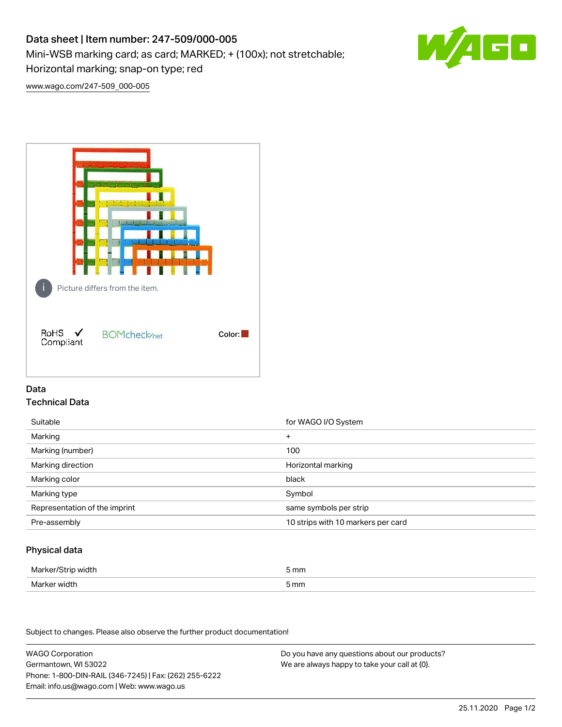# Data sheet | Item number: 247-509/000-005

Mini-WSB marking card; as card; MARKED; + (100x); not stretchable;

Horizontal marking; snap-on type; red



[www.wago.com/247-509\\_000-005](http://www.wago.com/247-509_000-005)



# Data Technical Data

| Suitable                      | for WAGO I/O System                |
|-------------------------------|------------------------------------|
| Marking                       | $\ddot{}$                          |
| Marking (number)              | 100                                |
| Marking direction             | Horizontal marking                 |
| Marking color                 | black                              |
| Marking type                  | Symbol                             |
| Representation of the imprint | same symbols per strip             |
| Pre-assembly                  | 10 strips with 10 markers per card |

## Physical data

| Marker/Strip width | 5 mm |
|--------------------|------|
| Marker width       | 5 mm |

Subject to changes. Please also observe the further product documentation!

WAGO Corporation Germantown, WI 53022 Phone: 1-800-DIN-RAIL (346-7245) | Fax: (262) 255-6222 Email: info.us@wago.com | Web: www.wago.us Do you have any questions about our products? We are always happy to take your call at {0}.

25.11.2020 Page 1/2